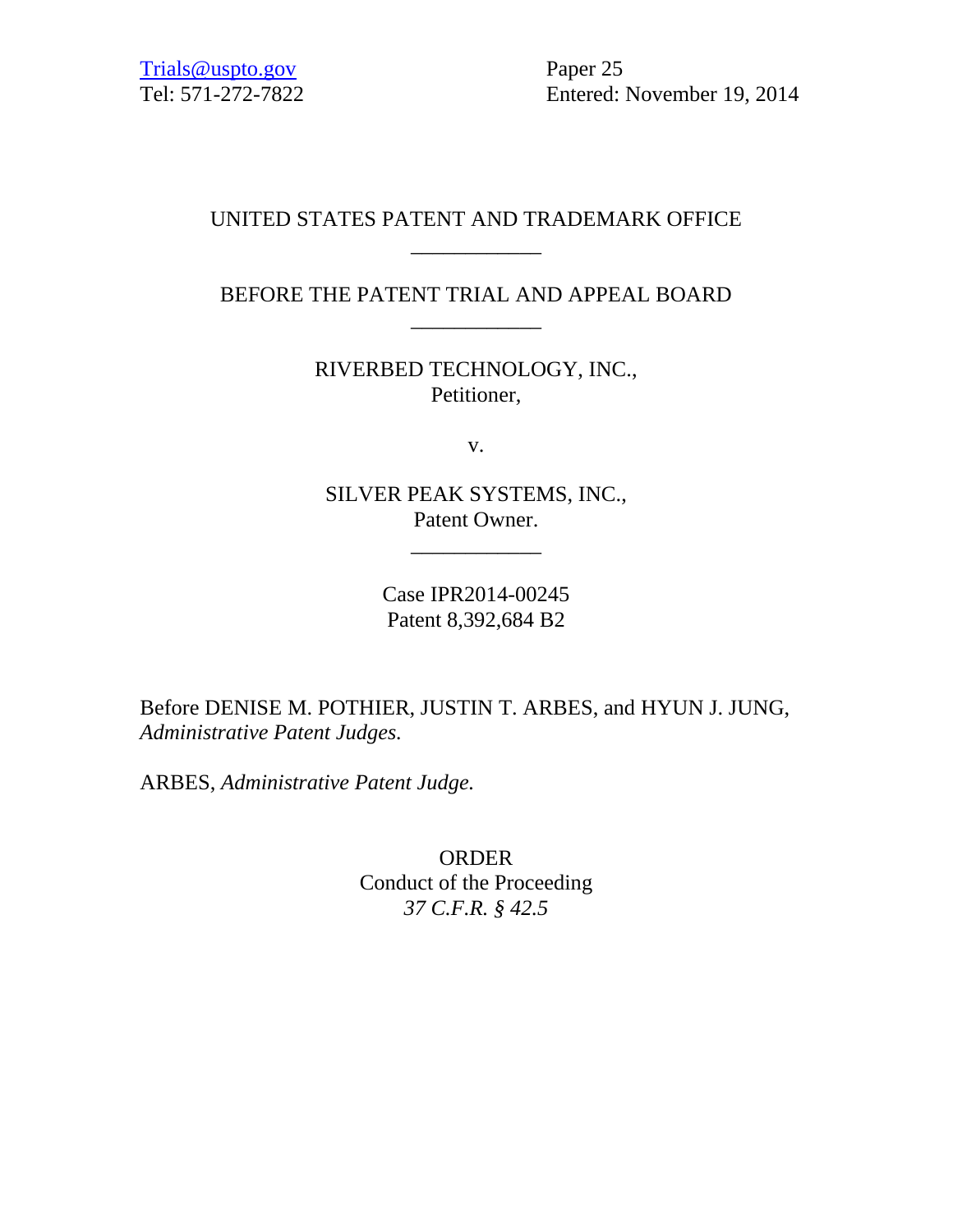Tel: 571-272-7822 Entered: November 19, 2014

# UNITED STATES PATENT AND TRADEMARK OFFICE \_\_\_\_\_\_\_\_\_\_\_\_

# BEFORE THE PATENT TRIAL AND APPEAL BOARD \_\_\_\_\_\_\_\_\_\_\_\_

RIVERBED TECHNOLOGY, INC., Petitioner,

v.

SILVER PEAK SYSTEMS, INC., Patent Owner.

\_\_\_\_\_\_\_\_\_\_\_\_

Case IPR2014-00245 Patent 8,392,684 B2

Before DENISE M. POTHIER, JUSTIN T. ARBES, and HYUN J. JUNG, *Administrative Patent Judges.*

ARBES, *Administrative Patent Judge.*

ORDER Conduct of the Proceeding *37 C.F.R. § 42.5*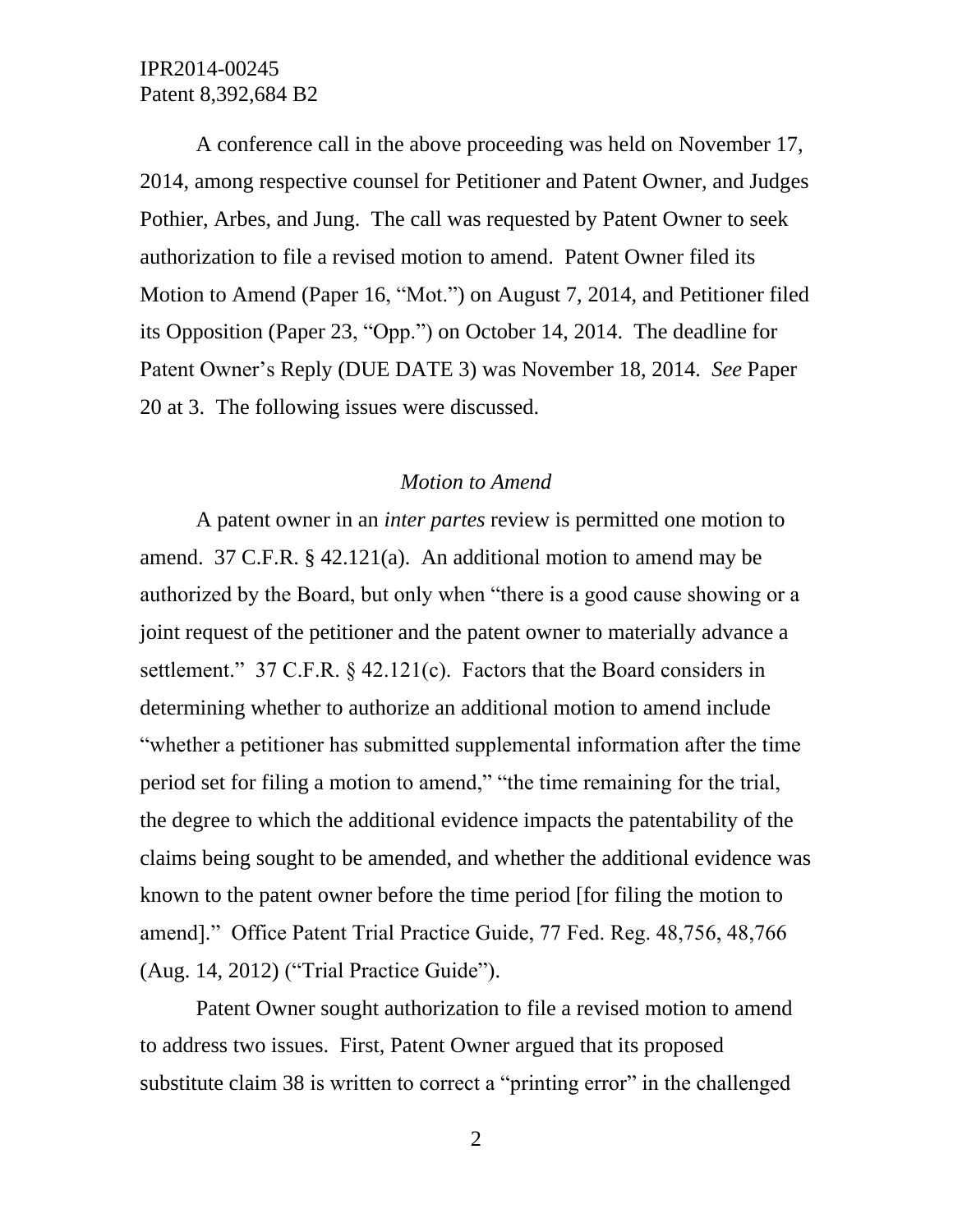A conference call in the above proceeding was held on November 17, 2014, among respective counsel for Petitioner and Patent Owner, and Judges Pothier, Arbes, and Jung. The call was requested by Patent Owner to seek authorization to file a revised motion to amend. Patent Owner filed its Motion to Amend (Paper 16, "Mot.") on August 7, 2014, and Petitioner filed its Opposition (Paper 23, "Opp.") on October 14, 2014. The deadline for Patent Owner's Reply (DUE DATE 3) was November 18, 2014. *See* Paper 20 at 3. The following issues were discussed.

#### *Motion to Amend*

A patent owner in an *inter partes* review is permitted one motion to amend. 37 C.F.R. § 42.121(a). An additional motion to amend may be authorized by the Board, but only when "there is a good cause showing or a joint request of the petitioner and the patent owner to materially advance a settlement." 37 C.F.R. § 42.121(c). Factors that the Board considers in determining whether to authorize an additional motion to amend include "whether a petitioner has submitted supplemental information after the time period set for filing a motion to amend," "the time remaining for the trial, the degree to which the additional evidence impacts the patentability of the claims being sought to be amended, and whether the additional evidence was known to the patent owner before the time period [for filing the motion to amend]." Office Patent Trial Practice Guide, 77 Fed. Reg. 48,756, 48,766 (Aug. 14, 2012) ("Trial Practice Guide").

Patent Owner sought authorization to file a revised motion to amend to address two issues. First, Patent Owner argued that its proposed substitute claim 38 is written to correct a "printing error" in the challenged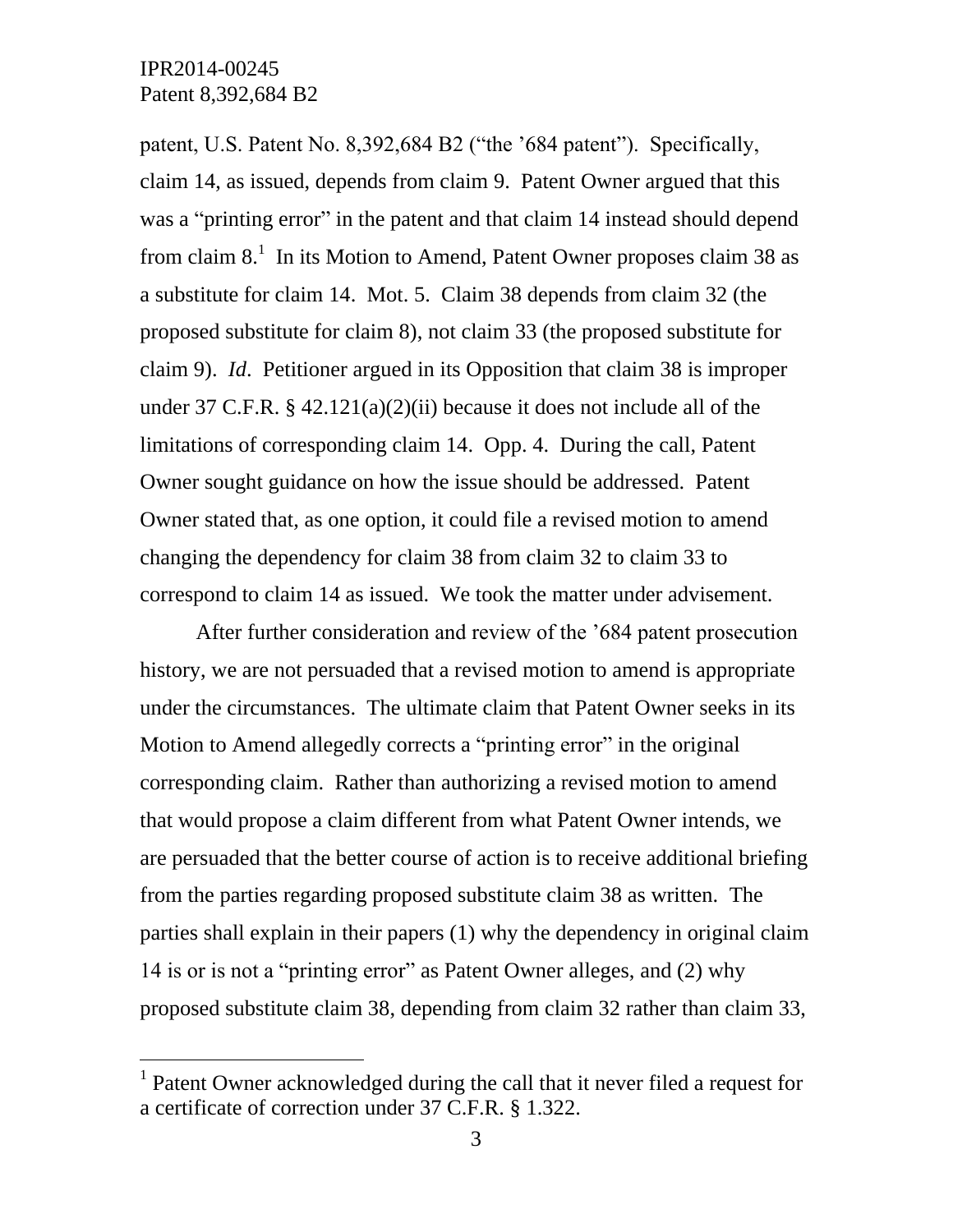$\overline{a}$ 

patent, U.S. Patent No. 8,392,684 B2 ("the '684 patent"). Specifically, claim 14, as issued, depends from claim 9. Patent Owner argued that this was a "printing error" in the patent and that claim 14 instead should depend from claim  $8<sup>1</sup>$  In its Motion to Amend, Patent Owner proposes claim 38 as a substitute for claim 14. Mot. 5. Claim 38 depends from claim 32 (the proposed substitute for claim 8), not claim 33 (the proposed substitute for claim 9). *Id*. Petitioner argued in its Opposition that claim 38 is improper under 37 C.F.R.  $\S$  42.121(a)(2)(ii) because it does not include all of the limitations of corresponding claim 14. Opp. 4. During the call, Patent Owner sought guidance on how the issue should be addressed. Patent Owner stated that, as one option, it could file a revised motion to amend changing the dependency for claim 38 from claim 32 to claim 33 to correspond to claim 14 as issued. We took the matter under advisement.

After further consideration and review of the '684 patent prosecution history, we are not persuaded that a revised motion to amend is appropriate under the circumstances. The ultimate claim that Patent Owner seeks in its Motion to Amend allegedly corrects a "printing error" in the original corresponding claim. Rather than authorizing a revised motion to amend that would propose a claim different from what Patent Owner intends, we are persuaded that the better course of action is to receive additional briefing from the parties regarding proposed substitute claim 38 as written. The parties shall explain in their papers (1) why the dependency in original claim 14 is or is not a "printing error" as Patent Owner alleges, and (2) why proposed substitute claim 38, depending from claim 32 rather than claim 33,

<sup>&</sup>lt;sup>1</sup> Patent Owner acknowledged during the call that it never filed a request for a certificate of correction under 37 C.F.R. § 1.322.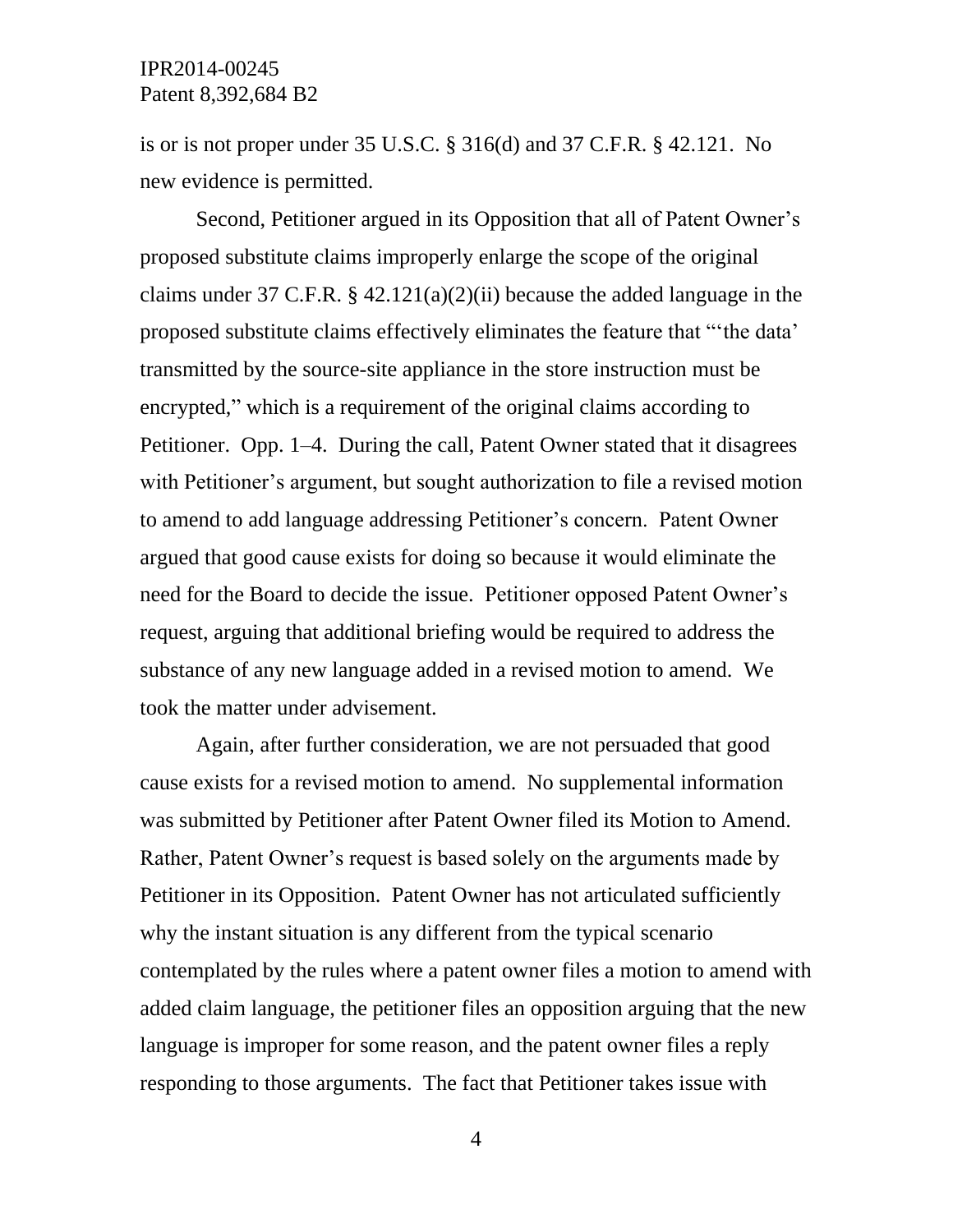is or is not proper under 35 U.S.C. § 316(d) and 37 C.F.R. § 42.121. No new evidence is permitted.

Second, Petitioner argued in its Opposition that all of Patent Owner's proposed substitute claims improperly enlarge the scope of the original claims under 37 C.F.R.  $\S$  42.121(a)(2)(ii) because the added language in the proposed substitute claims effectively eliminates the feature that "'the data' transmitted by the source-site appliance in the store instruction must be encrypted," which is a requirement of the original claims according to Petitioner. Opp. 1–4. During the call, Patent Owner stated that it disagrees with Petitioner's argument, but sought authorization to file a revised motion to amend to add language addressing Petitioner's concern. Patent Owner argued that good cause exists for doing so because it would eliminate the need for the Board to decide the issue. Petitioner opposed Patent Owner's request, arguing that additional briefing would be required to address the substance of any new language added in a revised motion to amend. We took the matter under advisement.

Again, after further consideration, we are not persuaded that good cause exists for a revised motion to amend. No supplemental information was submitted by Petitioner after Patent Owner filed its Motion to Amend. Rather, Patent Owner's request is based solely on the arguments made by Petitioner in its Opposition. Patent Owner has not articulated sufficiently why the instant situation is any different from the typical scenario contemplated by the rules where a patent owner files a motion to amend with added claim language, the petitioner files an opposition arguing that the new language is improper for some reason, and the patent owner files a reply responding to those arguments. The fact that Petitioner takes issue with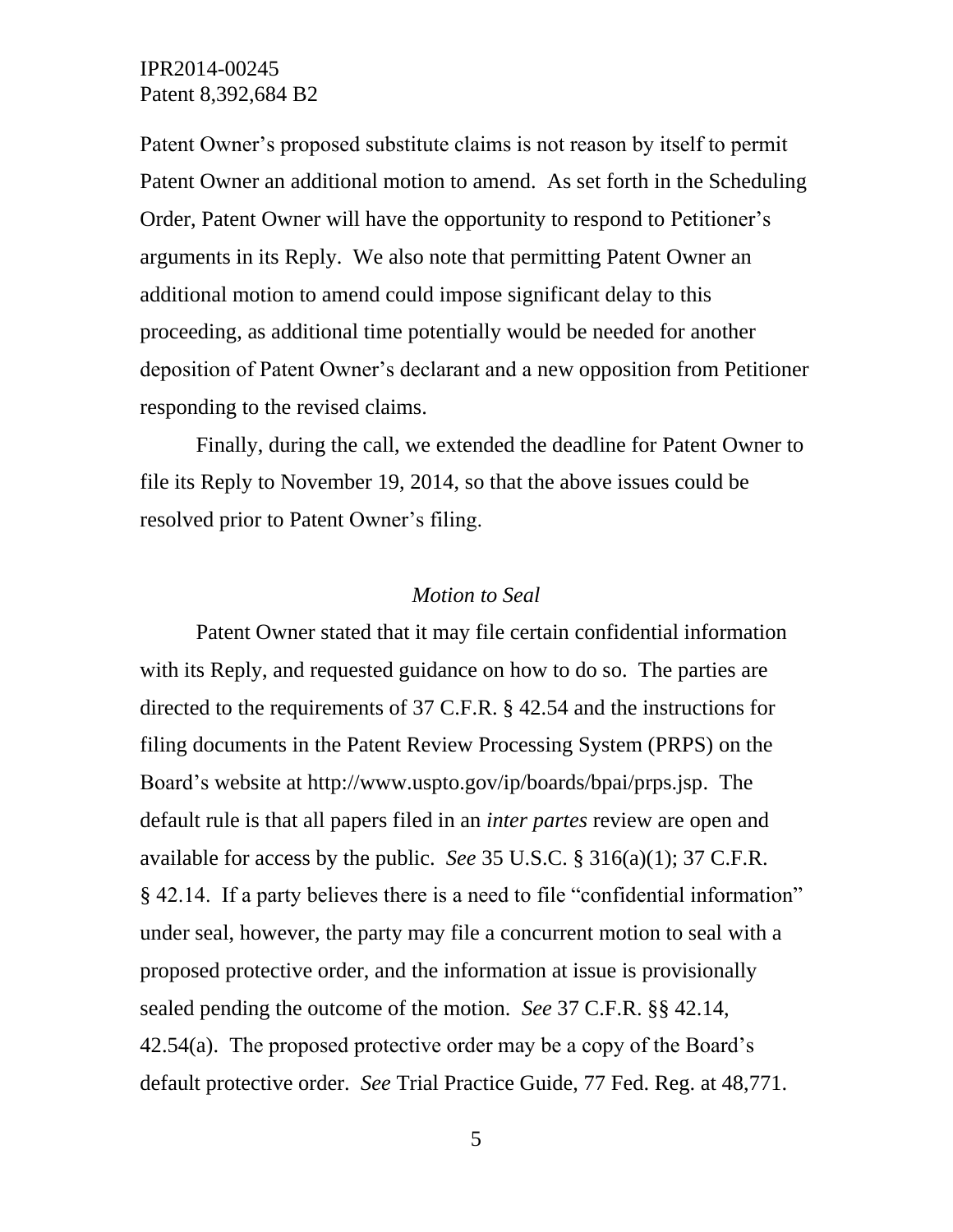Patent Owner's proposed substitute claims is not reason by itself to permit Patent Owner an additional motion to amend. As set forth in the Scheduling Order, Patent Owner will have the opportunity to respond to Petitioner's arguments in its Reply. We also note that permitting Patent Owner an additional motion to amend could impose significant delay to this proceeding, as additional time potentially would be needed for another deposition of Patent Owner's declarant and a new opposition from Petitioner responding to the revised claims.

Finally, during the call, we extended the deadline for Patent Owner to file its Reply to November 19, 2014, so that the above issues could be resolved prior to Patent Owner's filing.

#### *Motion to Seal*

Patent Owner stated that it may file certain confidential information with its Reply, and requested guidance on how to do so. The parties are directed to the requirements of 37 C.F.R. § 42.54 and the instructions for filing documents in the Patent Review Processing System (PRPS) on the Board's website at http://www.uspto.gov/ip/boards/bpai/prps.jsp. The default rule is that all papers filed in an *inter partes* review are open and available for access by the public. *See* 35 U.S.C. § 316(a)(1); 37 C.F.R. § 42.14. If a party believes there is a need to file "confidential information" under seal, however, the party may file a concurrent motion to seal with a proposed protective order, and the information at issue is provisionally sealed pending the outcome of the motion. *See* 37 C.F.R. §§ 42.14, 42.54(a). The proposed protective order may be a copy of the Board's default protective order. *See* Trial Practice Guide, 77 Fed. Reg. at 48,771.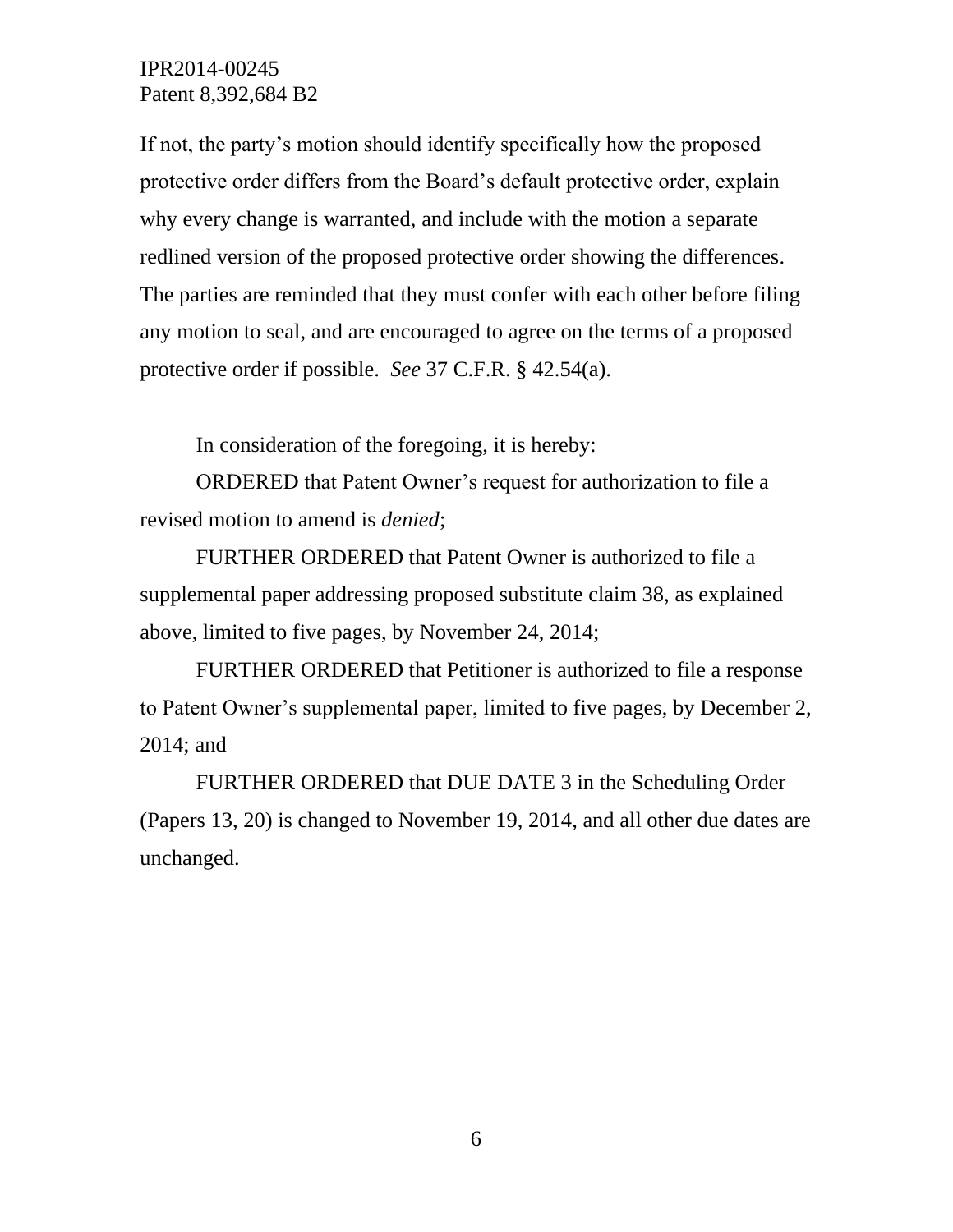If not, the party's motion should identify specifically how the proposed protective order differs from the Board's default protective order, explain why every change is warranted, and include with the motion a separate redlined version of the proposed protective order showing the differences. The parties are reminded that they must confer with each other before filing any motion to seal, and are encouraged to agree on the terms of a proposed protective order if possible. *See* 37 C.F.R. § 42.54(a).

In consideration of the foregoing, it is hereby:

ORDERED that Patent Owner's request for authorization to file a revised motion to amend is *denied*;

FURTHER ORDERED that Patent Owner is authorized to file a supplemental paper addressing proposed substitute claim 38, as explained above, limited to five pages, by November 24, 2014;

FURTHER ORDERED that Petitioner is authorized to file a response to Patent Owner's supplemental paper, limited to five pages, by December 2, 2014; and

FURTHER ORDERED that DUE DATE 3 in the Scheduling Order (Papers 13, 20) is changed to November 19, 2014, and all other due dates are unchanged.